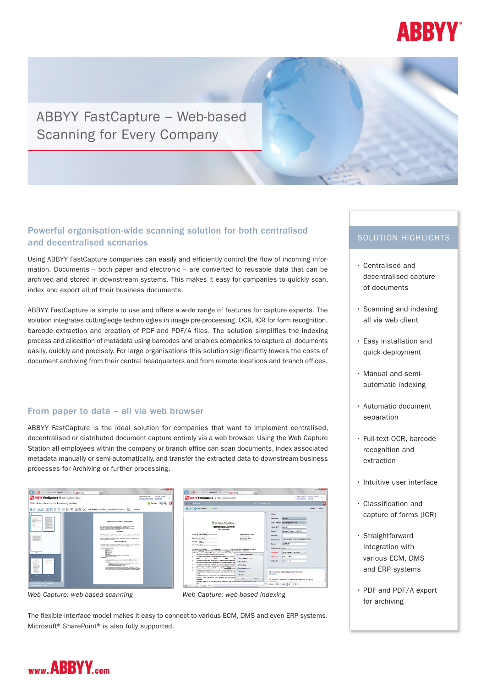

# ABBYY FastCapture – Web-based Scanning for Every Company

# Powerful organisation-wide scanning solution for both centralised and decentralised scenarios

Using ABBYY FastCapture companies can easily and efficiently control the flow of incoming information. Documents – both paper and electronic – are converted to reusable data that can be archived and stored in downstream systems. this makes it easy for companies to quickly scan, index and export all of their business documents.

ABBYY FastCapture is simple to use and offers a wide range of features for capture experts. the solution integrates cutting-edge technologies in image pre-processing, oCR, iCR for form recognition, barcode extraction and creation of PDF and PDF/A files. The solution simplifies the indexing process and allocation of metadata using barcodes and enables companies to capture all documents easily, quickly and precisely. For large organisations this solution significantly lowers the costs of document archiving from their central headquarters and from remote locations and branch offices.

# From paper to data – all via web browser

ABBYY FastCapture is the ideal solution for companies that want to implement centralised, decentralised or distributed document capture entirely via a web browser. using the Web Capture Station all employees within the company or branch office can scan documents, index associated metadata manually or semi-automatically, and transfer the extracted data to downstream business processes for Archiving or further processing.



*Web Capture: web-based scanning Web Capture: web-based indexing*

| ABBYY FlexiCapture 10 Web Capture Station                                                                                                                                                                                                                                                                                                                                                                                                                                                                                                                                                                                                                                                                                                                                                                                                                                                                                                                                                                                                                                                                                                                                                                                                                                                                            | ABBYYCzęture Harkus IRdiker<br>$\overline{\mathbf{u}}$<br>Select project<br>too off                                                                                                                                                                                                                                                                                                         |
|----------------------------------------------------------------------------------------------------------------------------------------------------------------------------------------------------------------------------------------------------------------------------------------------------------------------------------------------------------------------------------------------------------------------------------------------------------------------------------------------------------------------------------------------------------------------------------------------------------------------------------------------------------------------------------------------------------------------------------------------------------------------------------------------------------------------------------------------------------------------------------------------------------------------------------------------------------------------------------------------------------------------------------------------------------------------------------------------------------------------------------------------------------------------------------------------------------------------------------------------------------------------------------------------------------------------|---------------------------------------------------------------------------------------------------------------------------------------------------------------------------------------------------------------------------------------------------------------------------------------------------------------------------------------------------------------------------------------------|
| Mark Mark Corp.                                                                                                                                                                                                                                                                                                                                                                                                                                                                                                                                                                                                                                                                                                                                                                                                                                                                                                                                                                                                                                                                                                                                                                                                                                                                                                      | $< 2$ . Beleg $>$<br>×                                                                                                                                                                                                                                                                                                                                                                      |
| @ pb   #3 Check Rules   of Confirm                                                                                                                                                                                                                                                                                                                                                                                                                                                                                                                                                                                                                                                                                                                                                                                                                                                                                                                                                                                                                                                                                                                                                                                                                                                                                   | Online: O View O                                                                                                                                                                                                                                                                                                                                                                            |
| Green County Animal Sheker<br>ADOPTIONINEDICAL CONTRACT<br>Ohio Derefondist<br>Corporated AND INCHES<br><b>Even Coastr Avenue Brater</b><br>1790 Green Drive<br><b>MANIPE LOUNDER</b><br>Evening GO VEHICLE<br><b>COLUMB 7600</b><br>Ennemnte, 1916<br>AVINE D PA, SENIC<br>Assna, Gree Drive 161 Committed CO 120879<br>This particular material prog-<br><b>Tel: Yangita</b><br>Pront by, 145-631-380 and Cover Coasts Arized Radio or, (Aust \$200-2). The business business \$25.00 arizes.<br>to refundable (ii) when seal better of this contract any musical conditions specified applied<br>v. Pullisle Selection<br>The Wisch South Askral States agrees to the following:<br>×<br>To cive the adjoint a replacement behind assumes powers on and somest at the<br>٠<br>Arhaesbyddurg<br>Breat and Color<br>To exchange or make whart as any orienal that regulars endor musical bootens<br>ĸ.<br><b>Ministers</b><br>the har nount teach with Freehold dealership and planted of elec-<br>c.<br>To explore a rede plant or any other that relates several or completely<br><b>El moderno</b><br>relative cauching the family absolute aliter must resumed by the announce<br>×.<br><b>M</b> Penandel colony<br>×.<br>Per trigoding untertainty hospitals agree for pensilie the services stated bench that | $-$ 84kg<br>pichler<br>Demutoren<br>Fresh Adresse glichter Goldbys com<br><b>Drambo</b> *<br><b>Highlan</b><br>Belag, PDF vom 12/03/07<br><b>Date of the</b><br>Raccode*<br>000569284104e1ex3e570160loafs49<br>Determents*<br>12/02/07<br>Datum<br>Dekementart<br>Mahrung<br><b><i><u>Admitsions</u></i></b><br>Hubigle hams salarized<br>Index 1th<br>ARC-157890<br>tribac 2*<br>DKY-23-FF |
| <b>L. Literaturis</b><br>animal finalism at the shares in the adapter and datas senders must be nothi-<br>miner<br><b>Diversed</b><br>as projetive lenders's from natural concern. A free manufaculture will be given to beat<br>batuding a check of beageneurs, guitas, meanwhen, even, cars extering<br>$^{ce}$<br>Coremi<br>ministeri<br>DORE NOT relate any lat free youthatten, or medication. Thus anything concerns any parameters.<br>-                                                                                                                                                                                                                                                                                                                                                                                                                                                                                                                                                                                                                                                                                                                                                                                                                                                                      | <sup>6</sup> You should select at least one checkmark.<br>(abrolute)<br><sup>(2</sup> At least 1 chedenark(s) should be selected in the group.<br><b>Fabricannia</b><br>Finans: ED 6<br>$+0$                                                                                                                                                                                                |

the flexible interface model makes it easy to connect to various ECM, DMS and even ERP systems. Microsoft<sup>®</sup> SharePoint<sup>®</sup> is also fully supported.

# SOLUTION HIGHLIGHTS

- Centralised and decentralised capture of documents
- Scanning and indexing all via web client
- Easy installation and quick deployment
- Manual and semiautomatic indexing
- Automatic document separation
- Full-text oCR, barcode recognition and extraction
- intuitive user interface
- Classification and capture of forms (iCR)
- Straightforward integration with various ECM, DMS and ERP systems
- PDF and PDF/A export for archiving

# www.ABBYY.com